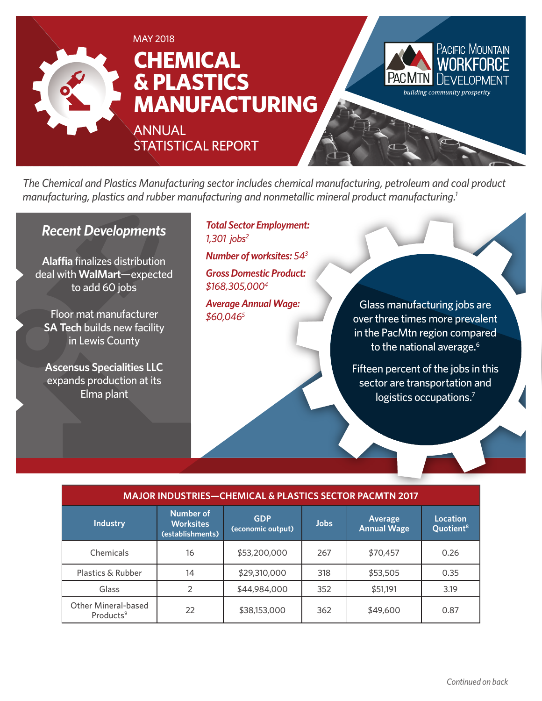

*The Chemical and Plastics Manufacturing sector includes chemical manufacturing, petroleum and coal product manufacturing, plastics and rubber manufacturing and nonmetallic mineral product manufacturing.1*

### *Recent Developments*

**Alaffia** finalizes distribution deal with **WalMart**—expected to add 60 jobs

Floor mat manufacturer **SA Tech** builds new facility in Lewis County

**Ascensus Specialities LLC**  expands production at its Elma plant

*Total Sector Employment: 1,301 jobs2*

*Number of worksites: 543*

*Gross Domestic Product: \$168,305,0004*

*Average Annual Wage: \$60,0465*

Glass manufacturing jobs are over three times more prevalent in the PacMtn region compared to the national average.<sup>6</sup>

Fifteen percent of the jobs in this sector are transportation and logistics occupations.<sup>7</sup>

| <b>MAJOR INDUSTRIES-CHEMICAL &amp; PLASTICS SECTOR PACMTN 2017</b> |                                                          |                                 |             |                               |                                          |
|--------------------------------------------------------------------|----------------------------------------------------------|---------------------------------|-------------|-------------------------------|------------------------------------------|
| <b>Industry</b>                                                    | <b>Number of</b><br><b>Worksites</b><br>(establishments) | <b>GDP</b><br>(economic output) | <b>Jobs</b> | Average<br><b>Annual Wage</b> | <b>Location</b><br>Quotient <sup>8</sup> |
| Chemicals                                                          | 16                                                       | \$53,200,000                    | 267         | \$70,457                      | 0.26                                     |
| Plastics & Rubber                                                  | 14                                                       | \$29,310,000                    | 318         | \$53,505                      | 0.35                                     |
| Glass                                                              |                                                          | \$44,984,000                    | 352         | \$51,191                      | 3.19                                     |
| Other Mineral-based<br>Products <sup>9</sup>                       | 22                                                       | \$38,153,000                    | 362         | \$49,600                      | 0.87                                     |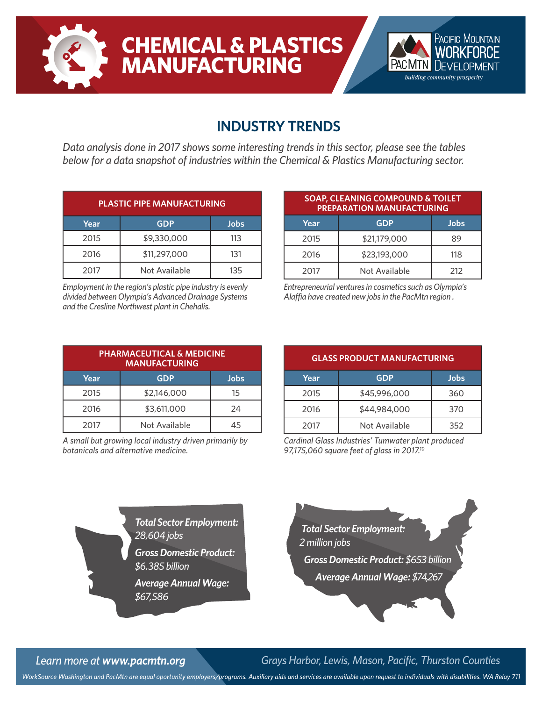

# **CHEMICAL & PLASTICS MANUFACTURING**



### **INDUSTRY TRENDS**

*Data analysis done in 2017 shows some interesting trends in this sector, please see the tables below for a data snapshot of industries within the Chemical & Plastics Manufacturing sector.*

| <b>PLASTIC PIPE MANUFACTURING</b> |               |      |  |
|-----------------------------------|---------------|------|--|
| Year                              | <b>GDP</b>    | Jobs |  |
| 2015                              | \$9,330,000   | 113  |  |
| 2016                              | \$11,297,000  | 131  |  |
| 2017                              | Not Available | 135  |  |

*Employment in the region's plastic pipe industry is evenly divided between Olympia's Advanced Drainage Systems and the Cresline Northwest plant in Chehalis.*

| <b>SOAP, CLEANING COMPOUND &amp; TOILET</b><br><b>PREPARATION MANUFACTURING</b> |               |      |  |
|---------------------------------------------------------------------------------|---------------|------|--|
| Year                                                                            | <b>GDP</b>    | Jobs |  |
| 2015                                                                            | \$21,179,000  | 89   |  |
| 2016                                                                            | \$23,193,000  | 118  |  |
| 2017                                                                            | Not Available | 212  |  |

*Entrepreneurial ventures in cosmetics such as Olympia's Alaffia have created new jobs in the PacMtn region .*

| <b>PHARMACEUTICAL &amp; MEDICINE</b><br><b>MANUFACTURING</b> |               |      |  |  |
|--------------------------------------------------------------|---------------|------|--|--|
| Year                                                         | <b>GDP</b>    | Jobs |  |  |
| 2015                                                         | \$2,146,000   | 15   |  |  |
| 2016                                                         | \$3,611,000   | 24   |  |  |
| 2017                                                         | Not Available | 45   |  |  |

*A small but growing local industry driven primarily by botanicals and alternative medicine.*

| <b>GLASS PRODUCT MANUFACTURING</b> |               |      |  |
|------------------------------------|---------------|------|--|
| Year                               | <b>GDP</b>    | Jobs |  |
| 2015                               | \$45,996,000  | 360  |  |
| 2016                               | \$44,984,000  | 370  |  |
| 2017                               | Not Available | 352  |  |

*Cardinal Glass Industries' Tumwater plant produced 97,175,060 square feet of glass in 2017.10*

*Total Sector Employment: 28,604 jobs Gross Domestic Product: \$6.385 billion*

> *Average Annual Wage: \$67,586*



*Learn more at www.pacmtn.org Grays Harbor, Lewis, Mason, Pacific, Thurston Counties*

*WorkSource Washington and PacMtn are equal oportunity employers/programs. Auxiliary aids and services are available upon request to individuals with disabilities. WA Relay 711*